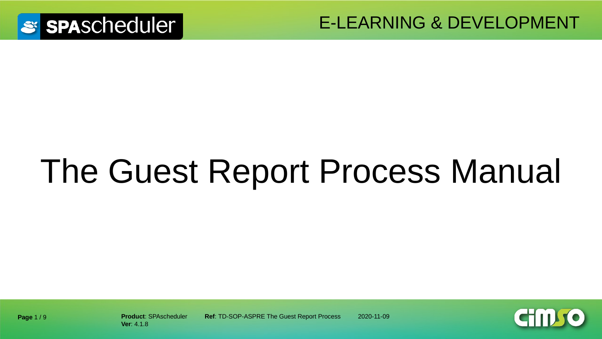

E-LEARNING & DEVELOPMENT

# The Guest Report Process Manual



**Ver**: 4.1.8

**Product**: SPAscheduler **Ref**: TD-SOP-ASPRE The Guest Report Process 2020-11-09

**Page** 1 / 9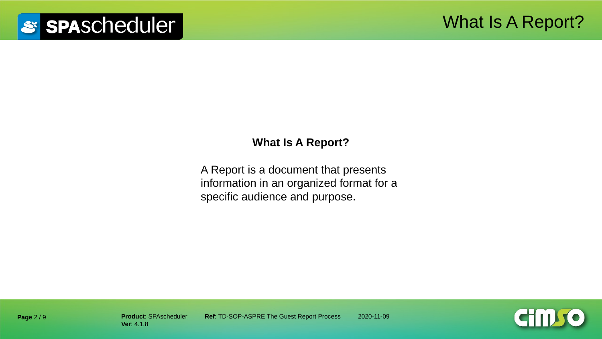#### **What Is A Report?**

A Report is a document that presents information in an organized format for a specific audience and purpose.

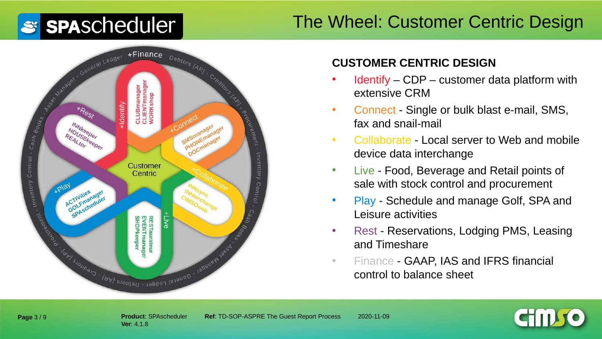### The Wheel: Customer Centric Design



#### **CUSTOMER CENTRIC DESIGN**

- Identify CDP customer data platform with extensive CRM
- Connect Single or bulk blast e-mail, SMS, fax and snail-mail
- Collaborate Local server to Web and mobile device data interchange
- Live Food, Beverage and Retail points of sale with stock control and procurement
- Play Schedule and manage Golf, SPA and Leisure activities
- Rest Reservations, Lodging PMS, Leasing and Timeshare
- Finance GAAP, IAS and IFRS financial control to balance sheet

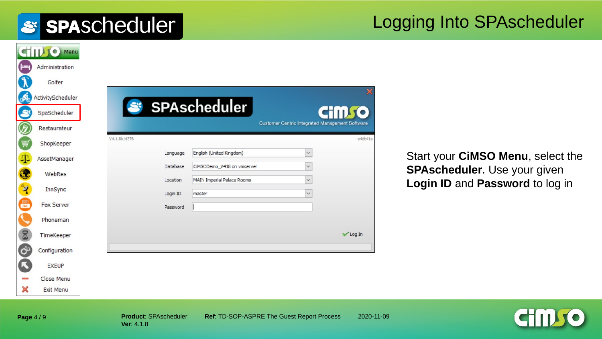#### Logging Into SPAscheduler

|                    | STILL O Menu      |
|--------------------|-------------------|
| ⊨                  | Administration    |
|                    | Golfer            |
| E                  | ActivityScheduler |
|                    | SpaScheduler      |
|                    | Restaurateur      |
|                    | ShopKeeper        |
| 4                  | AssetManager      |
|                    | WebRes            |
|                    |                   |
| $\mathbf{\hat{z}}$ | <b>InnSync</b>    |
| 鳳                  | <b>Fax Server</b> |
|                    | Phoneman          |
| 8                  | TimeKeeper        |
| $\sigma^{\circ}$   | Configuration     |
|                    | <b>EXEUP</b>      |
|                    | Close Menu        |
| ×                  | <b>Exit Menu</b>  |

Start your **CiMSO Menu**, select the **SPAscheduler**. Use your given **Login ID** and **Password** to log in



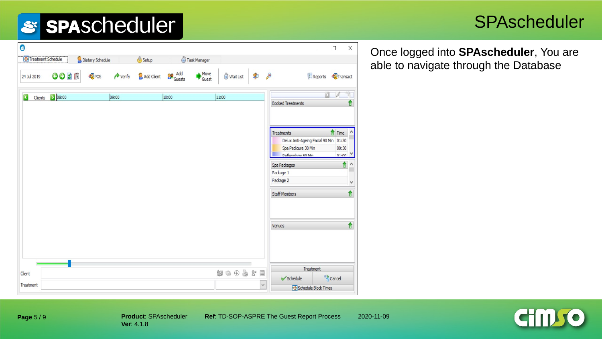#### **SPAscheduler**

| Ô                       |                 |                  |       |                           |       |               |                            |              |                                                                                                  | $\overline{\phantom{0}}$      | $\Box$                                   | $\times$  | Once logg   |
|-------------------------|-----------------|------------------|-------|---------------------------|-------|---------------|----------------------------|--------------|--------------------------------------------------------------------------------------------------|-------------------------------|------------------------------------------|-----------|-------------|
| Treatment Schedule      |                 | Dietary Schedule |       | Setup                     |       | Task Manager  |                            |              |                                                                                                  |                               |                                          |           | able to nay |
| 24 Jul 2019             | 0000            | <b>POS</b>       |       | Verify & Add Client & Add |       | Move<br>Guest | Wait List                  | S.           | $\mathscr{E}$                                                                                    | Reports Transact              |                                          |           |             |
| $\overline{\mathbf{C}}$ | Clients 2 08:00 |                  | 09:00 |                           | 10:00 |               | 11:00                      |              | <b>Booked Treatments</b>                                                                         |                               |                                          | ⇑         |             |
|                         |                 |                  |       |                           |       |               |                            |              |                                                                                                  |                               |                                          |           |             |
|                         |                 |                  |       |                           |       |               |                            |              | Treatments<br>Delux Anti-Ageing Facial 90 Min 01:30<br>Spa Pedicure 30 Min<br>Deflevology 60 Min |                               | $\frac{1}{2}$ Time<br>00:30<br>$n1 - n0$ |           |             |
|                         |                 |                  |       |                           |       |               |                            |              | Spa Packages<br>Package 1                                                                        |                               | ↑                                        | $\lambda$ |             |
|                         |                 |                  |       |                           |       |               |                            |              | Package 2<br><b>Staff Members</b>                                                                |                               |                                          | ٧<br>↑    |             |
|                         |                 |                  |       |                           |       |               |                            |              |                                                                                                  |                               |                                          | ↑         |             |
|                         |                 |                  |       |                           |       |               |                            |              | Venues                                                                                           |                               |                                          |           |             |
|                         |                 |                  |       |                           |       |               |                            |              |                                                                                                  | Treatment                     |                                          |           |             |
| Client                  |                 |                  |       |                           |       |               | $w \oplus \oplus x \equiv$ |              | ✔ Schedule                                                                                       |                               | <sup>63</sup> Cancel                     |           |             |
| Treatment               |                 |                  |       |                           |       |               |                            | $\checkmark$ |                                                                                                  | <b>HRSchedule Block Times</b> |                                          |           |             |

ed into **SPAscheduler**, You are vigate through the Database



Client

Treatment

 $\bullet$ 

24 Jul 2019

Schedule Block Times

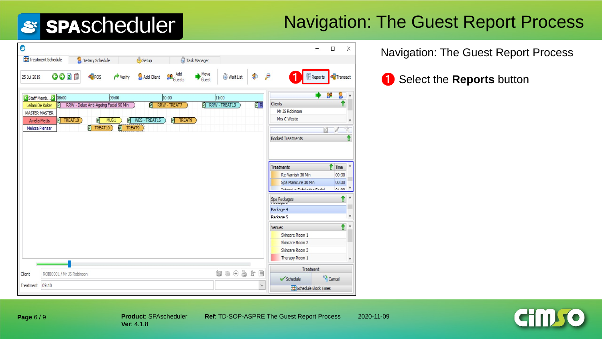### Navigation: The Guest Report Process

| 0                                                                                                      |                                                                                  |                                                 |                            |                    | $\Box$                                                                                                                    | X                  |  |
|--------------------------------------------------------------------------------------------------------|----------------------------------------------------------------------------------|-------------------------------------------------|----------------------------|--------------------|---------------------------------------------------------------------------------------------------------------------------|--------------------|--|
| Treatment Schedule                                                                                     | Dietary Schedule                                                                 | Setup                                           | Task Manager               |                    |                                                                                                                           |                    |  |
| $O$ $O$ $1$ $1$<br>25 Jul 2019                                                                         | POS<br>$\rightarrow$ Verify                                                      | <b>Conducts</b><br>Add Client                   | Move<br>Wait List<br>Guest | $\mathcal{P}$<br>P | $\left  \frac{1}{n} \right $ Reports<br>Transact                                                                          |                    |  |
| Staff Memb > 08:00                                                                                     | 09:00                                                                            | 10:00                                           | 11:00                      |                    | 99                                                                                                                        | ٨                  |  |
| Leilani De Koker<br>IPI<br><b>MASTER MASTER</b><br>P TREAT10<br><b>Amelia Metts</b><br>Melissa Pienaar | RRW - Delux Anti-Ageing Facial 90 Min<br>MUS1<br>冋<br>P<br>P TREAT9<br>P TREAT10 | 可<br>RRW - TREAT7<br>WES-TREAT15<br>P<br>TREAT9 | P RRW - TREAT13            | PIR                | Clients<br>1<br>Mr JS Robinson<br>Mrs C Weste<br>П<br><b>Booked Treatments</b>                                            | ٧<br>↟<br>$\wedge$ |  |
|                                                                                                        |                                                                                  |                                                 |                            |                    | Time<br>Treatments<br>Re-Varnish 30 Min<br>00:30<br>Spa Manicure 30 Min<br>00:30<br>Informium Eufaliation Eartal<br>01.00 |                    |  |
|                                                                                                        |                                                                                  |                                                 |                            |                    | ⇑<br>Spa Packages                                                                                                         | $\wedge$           |  |
|                                                                                                        |                                                                                  |                                                 |                            |                    | Package 4<br>Package 5                                                                                                    | v                  |  |
|                                                                                                        |                                                                                  |                                                 |                            |                    | ↟<br>Venues<br>Skincare Room 1<br>Skincare Room 2<br>Skincare Room 3                                                      | $\land$            |  |
|                                                                                                        |                                                                                  |                                                 |                            |                    | Therapy Room 1                                                                                                            | v                  |  |
| Client<br>ROBI0001 / Mr JS Robinson                                                                    |                                                                                  |                                                 | なっもうと目                     |                    | Treatment                                                                                                                 |                    |  |
| 09:10<br>Treatment                                                                                     |                                                                                  |                                                 |                            | $\vee$             | <sup>63</sup> Cancel<br>Schedule<br>Schedule Block Times                                                                  |                    |  |

Navigation: The Guest Report Process

❶ ❶ Select the **Reports** button



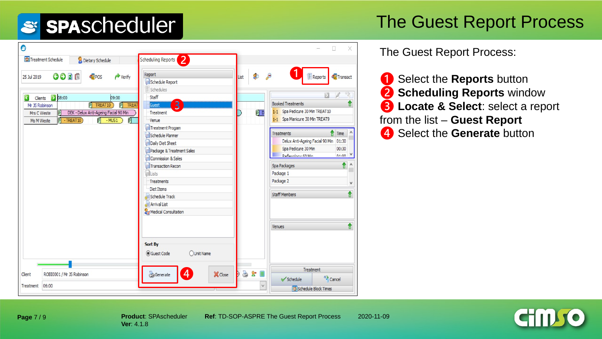### The Guest Report Process

| $\bullet$                                                                                                                                                                                                                                                                               |                                                                                                                                                                                                                                                                      |                          | X                                                                                                                                                                                                                                                                                                                                                 |
|-----------------------------------------------------------------------------------------------------------------------------------------------------------------------------------------------------------------------------------------------------------------------------------------|----------------------------------------------------------------------------------------------------------------------------------------------------------------------------------------------------------------------------------------------------------------------|--------------------------|---------------------------------------------------------------------------------------------------------------------------------------------------------------------------------------------------------------------------------------------------------------------------------------------------------------------------------------------------|
| Treatment Schedule<br>Dietary Schedule                                                                                                                                                                                                                                                  | Scheduling Reports<br>$\vert 2 \vert$                                                                                                                                                                                                                                |                          |                                                                                                                                                                                                                                                                                                                                                   |
| GODI<br>POS<br>$\rightarrow$ Verify<br>25 Jul 2019<br>208:00<br>$\overline{\textbf{C}}$<br>09:00<br>Clients<br>P TREAT10<br><b>P</b> TREAT<br>Mr JS Robinson<br>P DEK - Delux Anti-Ageing Facial 90 Min<br>Mrs C Weste<br>$P$ - TREAT10<br>可<br>$\overline{P}$<br>$-MUS1$<br>Ms M Weste | Report<br>Schedule Report<br>Schedules<br>Staff<br>$\overline{\mathbf{3}}$<br>Guest<br>Treatment<br>Venue<br>Treatment Progam<br>Schedule Planner<br>Daily Diet Sheet<br>Package & Treatment Sales<br>Commission & Sales<br>Transaction Recon<br>Lists<br>Treatments | $\bullet$<br>List<br>P D | $\left  \frac{\pi}{n} \right $ Reports<br>Transact<br><b>Booked Treatments</b><br>π<br>1-1 Spa Pedicure 30 Min TREAT10<br>1-1 Spa Manicure 30 Min TREAT9<br>Time<br><b>Treatments</b><br>Delux Anti-Ageing Facial 90 Min 01:30<br>Spa Pedicure 30 Min<br>00:30<br>Deflevology 60 Min<br>n1.00<br>⇑<br>Spa Packages<br>Λ<br>Package 1<br>Package 2 |
|                                                                                                                                                                                                                                                                                         | Diet Items<br>Schedule Track<br><b>E</b> Arrival List<br>Medical Consultation                                                                                                                                                                                        |                          | v<br>↟<br><b>Staff Members</b>                                                                                                                                                                                                                                                                                                                    |
| ROBI0001 / Mr JS Robinson<br>Client                                                                                                                                                                                                                                                     | Sort By<br><b>O</b> Guest Code<br>OUnit Name<br>4<br>Generate<br>X Close                                                                                                                                                                                             | 3x<br>)                  | ↑<br>Venues<br>Treatment                                                                                                                                                                                                                                                                                                                          |
| 06:00<br>Treatment                                                                                                                                                                                                                                                                      |                                                                                                                                                                                                                                                                      | $\checkmark$             | <sup>63</sup> Cancel<br>Schedule<br>Schedule Block Times                                                                                                                                                                                                                                                                                          |

The Guest Report Process:

❶ Select the **Reports** button ❷ **Scheduling Reports** window ❸ **Locate & Select**: select a report from the list – **Guest Report** 4 Select the **Generate** button



**Page** 7 / 9

**Product**: SPAscheduler **Ref**: TD-SOP-ASPRE The Guest Report Process 2020-11-09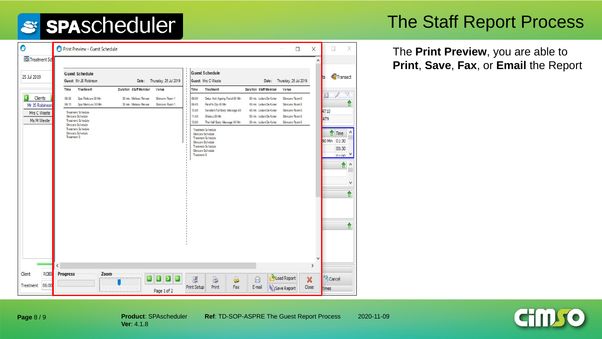#### The Staff Report Process

The **Print Preview**, you are able to **Print**, **Save**, **Fax**, or **Email** the Report

| $\bullet$                                                                         | Print Preview - Guest Schedule<br>$\Box$                                                                                                                                                                                                                                                                                                                                                                                                                                                                                                                                                                                                                                                                                                                                                                                                                                                                                                                                                                                          | X                                          | X<br>$\Box$                                                                                      |
|-----------------------------------------------------------------------------------|-----------------------------------------------------------------------------------------------------------------------------------------------------------------------------------------------------------------------------------------------------------------------------------------------------------------------------------------------------------------------------------------------------------------------------------------------------------------------------------------------------------------------------------------------------------------------------------------------------------------------------------------------------------------------------------------------------------------------------------------------------------------------------------------------------------------------------------------------------------------------------------------------------------------------------------------------------------------------------------------------------------------------------------|--------------------------------------------|--------------------------------------------------------------------------------------------------|
| Treatment Sch<br>25 Jul 2019                                                      | <b>Guest Schedule</b><br><b>Guest Schedule</b><br>Guest Mr JS Robinson<br>Guest Mrs C Weste<br>Date: Thursday, 25 Jul 2019<br>Date: Thursday, 25 Jul 2019                                                                                                                                                                                                                                                                                                                                                                                                                                                                                                                                                                                                                                                                                                                                                                                                                                                                         | $\wedge$                                   | Transact                                                                                         |
| $\overline{\textbf{C}}$<br>Clients<br>Mr JS Robinson<br>Mrs C Weste<br>Ms M Weste | Treatment<br><b>Duration Staff Member</b><br>Venue<br>Treatment<br>Duration Staff Member<br>Time<br>Venue<br><b>Time</b><br>Spa Pedicure 30 Min<br>08:35<br>30 min. Melissa Flenaar<br>Skincare Room 1<br>08:00<br>Delux Anti-Ageing Facial 90 Min<br>90 min. Leilani De Koker<br>Skincare Room3<br>Spa Maricure 30 Mm<br>30 min. Melissa Renaar<br>Skincare Room 1<br>Skincare Room3<br>09:10<br>09:45<br>Paraffin Dip 45 Min<br>45 min. Leilani De Koker<br>10:45<br>Swedish Full Body Massage 45<br>45 min. Leilani De Koker<br>Skincare Room3<br>Treatment Schedule<br>Skincare Schedule<br>11:45<br>Shiats u 50 Min<br>50 min. Leilani De Koker<br>Skincare Room3<br>Treatment Schedule<br>13:00<br>Skincare Room3<br>Thai Half Body Massage 30 Min<br>30 min. Leilani De Koker<br>Skincare Schedule<br>Treatment Schedule<br>Treatment Schedule<br>Skincare Schedule<br>Skincare Schedule<br><b>Treatment S</b><br>Treatment Schedule<br>Skincare Schedule<br>Treatment Schedule<br>Skincare Schedule<br><b>Treatment S</b> | ٧                                          | 1<br>AT 10<br>AT <sub>9</sub><br>Time<br>90 Min 01:30<br>00:30<br>n1.00<br>↑<br>Α<br>٧<br>↑<br>↟ |
| Client<br><b>ROBI</b><br>06:00<br>Treatment                                       | $\overline{\phantom{a}}$<br><b>Progress</b><br>Zoom<br>Load Report<br>$\mathbf{D}$<br>B<br>$\triangleright$<br>8<br>$\overline{\mathbf{K}}$<br>g<br>S<br>$\circledR$<br><b>Print Setup</b><br>E-mail<br><b>Iti</b> jSave Report<br>Print<br>Fax<br>1.1.1.1.1.1.1.1.1.1<br>Page 1 of 2                                                                                                                                                                                                                                                                                                                                                                                                                                                                                                                                                                                                                                                                                                                                             | $\,$<br>$\boldsymbol{\mathsf{x}}$<br>Close | Cancel<br><b>Times</b>                                                                           |

**Page** 8 / 9

**Ver**: 4.1.8

**Product**: SPAscheduler **Ref**: TD-SOP-ASPRE The Guest Report Process 2020-11-09